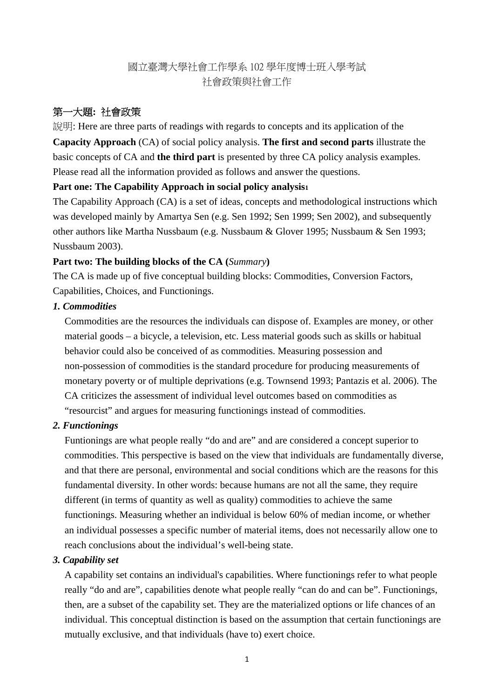# 國立臺灣大學社會工作學系 102 學年度博士班入學考試 社會政策與社會工作

# 第一大題**:** 社會政策

説明: Here are three parts of readings with regards to concepts and its application of the **Capacity Approach** (CA) of social policy analysis. **The first and second parts** illustrate the

basic concepts of CA and **the third part** is presented by three CA policy analysis examples. Please read all the information provided as follows and answer the questions.

### **Part one: The Capability Approach in social policy analysis1**

The Capability Approach (CA) is a set of ideas, concepts and methodological instructions which was developed mainly by Amartya Sen (e.g. Sen 1992; Sen 1999; Sen 2002), and subsequently other authors like Martha Nussbaum (e.g. Nussbaum & Glover 1995; Nussbaum & Sen 1993; Nussbaum 2003).

### **Part two: The building blocks of the CA (***Summary***)**

The CA is made up of five conceptual building blocks: Commodities, Conversion Factors, Capabilities, Choices, and Functionings.

## *1. Commodities*

Commodities are the resources the individuals can dispose of. Examples are money, or other material goods – a bicycle, a television, etc. Less material goods such as skills or habitual behavior could also be conceived of as commodities. Measuring possession and non-possession of commodities is the standard procedure for producing measurements of monetary poverty or of multiple deprivations (e.g. Townsend 1993; Pantazis et al. 2006). The CA criticizes the assessment of individual level outcomes based on commodities as "resourcist" and argues for measuring functionings instead of commodities.

## *2. Functionings*

Funtionings are what people really "do and are" and are considered a concept superior to commodities. This perspective is based on the view that individuals are fundamentally diverse, and that there are personal, environmental and social conditions which are the reasons for this fundamental diversity. In other words: because humans are not all the same, they require different (in terms of quantity as well as quality) commodities to achieve the same functionings. Measuring whether an individual is below 60% of median income, or whether an individual possesses a specific number of material items, does not necessarily allow one to reach conclusions about the individual's well-being state.

## *3. Capability set*

A capability set contains an individual's capabilities. Where functionings refer to what people really "do and are", capabilities denote what people really "can do and can be". Functionings, then, are a subset of the capability set. They are the materialized options or life chances of an individual. This conceptual distinction is based on the assumption that certain functionings are mutually exclusive, and that individuals (have to) exert choice.

1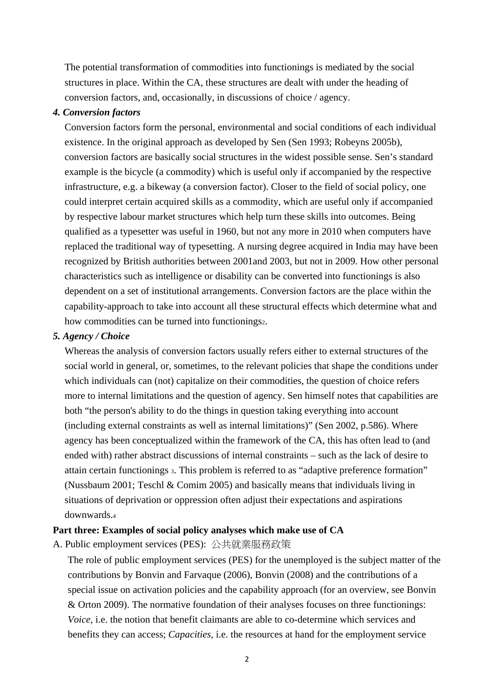The potential transformation of commodities into functionings is mediated by the social structures in place. Within the CA, these structures are dealt with under the heading of conversion factors, and, occasionally, in discussions of choice / agency.

#### *4. Conversion factors*

Conversion factors form the personal, environmental and social conditions of each individual existence. In the original approach as developed by Sen (Sen 1993; Robeyns 2005b), conversion factors are basically social structures in the widest possible sense. Sen's standard example is the bicycle (a commodity) which is useful only if accompanied by the respective infrastructure, e.g. a bikeway (a conversion factor). Closer to the field of social policy, one could interpret certain acquired skills as a commodity, which are useful only if accompanied by respective labour market structures which help turn these skills into outcomes. Being qualified as a typesetter was useful in 1960, but not any more in 2010 when computers have replaced the traditional way of typesetting. A nursing degree acquired in India may have been recognized by British authorities between 2001and 2003, but not in 2009. How other personal characteristics such as intelligence or disability can be converted into functionings is also dependent on a set of institutional arrangements. Conversion factors are the place within the capability-approach to take into account all these structural effects which determine what and how commodities can be turned into functionings2.

#### *5. Agency / Choice*

Whereas the analysis of conversion factors usually refers either to external structures of the social world in general, or, sometimes, to the relevant policies that shape the conditions under which individuals can (not) capitalize on their commodities, the question of choice refers more to internal limitations and the question of agency. Sen himself notes that capabilities are both "the person's ability to do the things in question taking everything into account (including external constraints as well as internal limitations)" (Sen 2002, p.586). Where agency has been conceptualized within the framework of the CA, this has often lead to (and ended with) rather abstract discussions of internal constraints – such as the lack of desire to attain certain functionings 3. This problem is referred to as "adaptive preference formation" (Nussbaum 2001; Teschl & Comim 2005) and basically means that individuals living in situations of deprivation or oppression often adjust their expectations and aspirations downwards.4

### **Part three: Examples of social policy analyses which make use of CA**

A. Public employment services (PES): 公共就業服務政策

The role of public employment services (PES) for the unemployed is the subject matter of the contributions by Bonvin and Farvaque (2006), Bonvin (2008) and the contributions of a special issue on activation policies and the capability approach (for an overview, see Bonvin & Orton 2009). The normative foundation of their analyses focuses on three functionings: *Voice*, i.e. the notion that benefit claimants are able to co-determine which services and benefits they can access; *Capacities*, i.e. the resources at hand for the employment service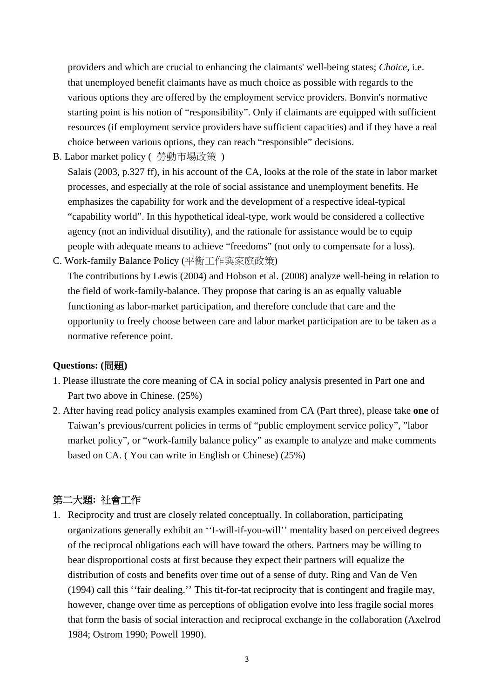providers and which are crucial to enhancing the claimants' well-being states; *Choice*, i.e. that unemployed benefit claimants have as much choice as possible with regards to the various options they are offered by the employment service providers. Bonvin's normative starting point is his notion of "responsibility". Only if claimants are equipped with sufficient resources (if employment service providers have sufficient capacities) and if they have a real choice between various options, they can reach "responsible" decisions.

B. Labor market policy ( 勞動市場政策 )

Salais (2003, p.327 ff), in his account of the CA, looks at the role of the state in labor market processes, and especially at the role of social assistance and unemployment benefits. He emphasizes the capability for work and the development of a respective ideal-typical "capability world". In this hypothetical ideal-type, work would be considered a collective agency (not an individual disutility), and the rationale for assistance would be to equip people with adequate means to achieve "freedoms" (not only to compensate for a loss).

C. Work-family Balance Policy (平衡工作與家庭政策)

The contributions by Lewis (2004) and Hobson et al. (2008) analyze well-being in relation to the field of work-family-balance. They propose that caring is an as equally valuable functioning as labor-market participation, and therefore conclude that care and the opportunity to freely choose between care and labor market participation are to be taken as a normative reference point.

### **Questions: (**問題**)**

- 1. Please illustrate the core meaning of CA in social policy analysis presented in Part one and Part two above in Chinese. (25%)
- 2. After having read policy analysis examples examined from CA (Part three), please take **one** of Taiwan's previous/current policies in terms of "public employment service policy", "labor market policy", or "work-family balance policy" as example to analyze and make comments based on CA. ( You can write in English or Chinese) (25%)

## 第二大題**:** 社會工作

1. Reciprocity and trust are closely related conceptually. In collaboration, participating organizations generally exhibit an ''I-will-if-you-will'' mentality based on perceived degrees of the reciprocal obligations each will have toward the others. Partners may be willing to bear disproportional costs at first because they expect their partners will equalize the distribution of costs and benefits over time out of a sense of duty. Ring and Van de Ven (1994) call this ''fair dealing.'' This tit-for-tat reciprocity that is contingent and fragile may, however, change over time as perceptions of obligation evolve into less fragile social mores that form the basis of social interaction and reciprocal exchange in the collaboration (Axelrod 1984; Ostrom 1990; Powell 1990).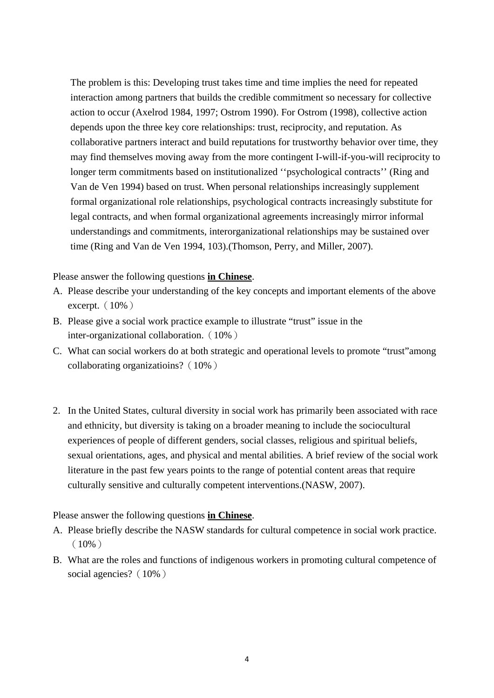The problem is this: Developing trust takes time and time implies the need for repeated interaction among partners that builds the credible commitment so necessary for collective action to occur (Axelrod 1984, 1997; Ostrom 1990). For Ostrom (1998), collective action depends upon the three key core relationships: trust, reciprocity, and reputation. As collaborative partners interact and build reputations for trustworthy behavior over time, they may find themselves moving away from the more contingent I-will-if-you-will reciprocity to longer term commitments based on institutionalized ''psychological contracts'' (Ring and Van de Ven 1994) based on trust. When personal relationships increasingly supplement formal organizational role relationships, psychological contracts increasingly substitute for legal contracts, and when formal organizational agreements increasingly mirror informal understandings and commitments, interorganizational relationships may be sustained over time (Ring and Van de Ven 1994, 103).(Thomson, Perry, and Miller, 2007).

Please answer the following questions **in Chinese**.

- A. Please describe your understanding of the key concepts and important elements of the above excerpt.  $(10\%)$
- B. Please give a social work practice example to illustrate "trust" issue in the inter-organizational collaboration. (10%)
- C. What can social workers do at both strategic and operational levels to promote "trust"among collaborating organizatioins?(10%)
- 2. In the United States, cultural diversity in social work has primarily been associated with race and ethnicity, but diversity is taking on a broader meaning to include the sociocultural experiences of people of different genders, social classes, religious and spiritual beliefs, sexual orientations, ages, and physical and mental abilities. A brief review of the social work literature in the past few years points to the range of potential content areas that require culturally sensitive and culturally competent interventions.(NASW, 2007).

Please answer the following questions **in Chinese**.

- A. Please briefly describe the NASW standards for cultural competence in social work practice.  $(10\%)$
- B. What are the roles and functions of indigenous workers in promoting cultural competence of social agencies? (10%)